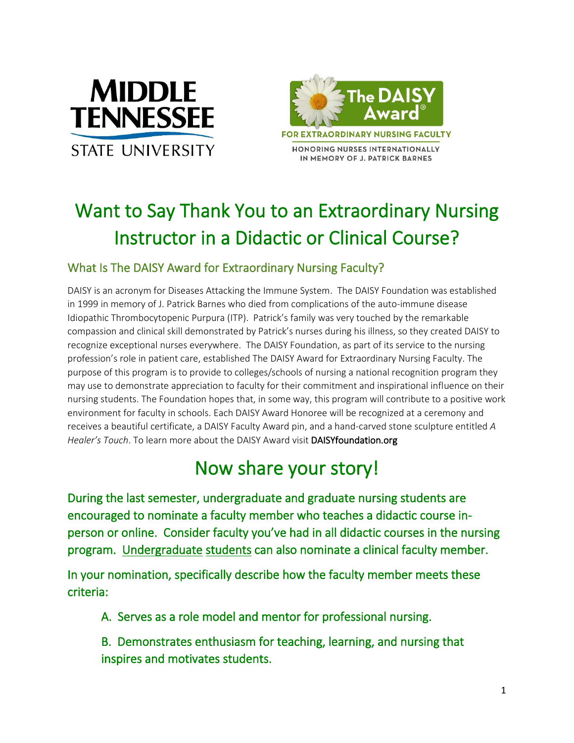





HONORING NURSES INTERNATIONALLY IN MEMORY OF J. PATRICK BARNES

## Want to Say Thank You to an Extraordinary Nursing Instructor in a Didactic or Clinical Course?

## What Is The DAISY Award for Extraordinary Nursing Faculty?

DAISY is an acronym for Diseases Attacking the Immune System. The DAISY Foundation was established in 1999 in memory of J. Patrick Barnes who died from complications of the auto-immune disease Idiopathic Thrombocytopenic Purpura (ITP). Patrick's family was very touched by the remarkable compassion and clinical skill demonstrated by Patrick's nurses during his illness, so they created DAISY to recognize exceptional nurses everywhere. The DAISY Foundation, as part of its service to the nursing profession's role in patient care, established The DAISY Award for Extraordinary Nursing Faculty. The purpose of this program is to provide to colleges/schools of nursing a national recognition program they may use to demonstrate appreciation to faculty for their commitment and inspirational influence on their nursing students. The Foundation hopes that, in some way, this program will contribute to a positive work environment for faculty in schools. Each DAISY Award Honoree will be recognized at a ceremony and receives a beautiful certificate, a DAISY Faculty Award pin, and a hand-carved stone sculpture entitled *A Healer's Touch*. To learn more about the DAISY Award visit DAISYfoundation.org

## Now share your story!

During the last semester, undergraduate and graduate nursing students are encouraged to nominate a faculty member who teaches a didactic course inperson or online. Consider faculty you've had in all didactic courses in the nursing program. Undergraduate students can also nominate a clinical faculty member.

In your nomination, specifically describe how the faculty member meets these criteria:

- A. Serves as a role model and mentor for professional nursing.
- B. Demonstrates enthusiasm for teaching, learning, and nursing that inspires and motivates students.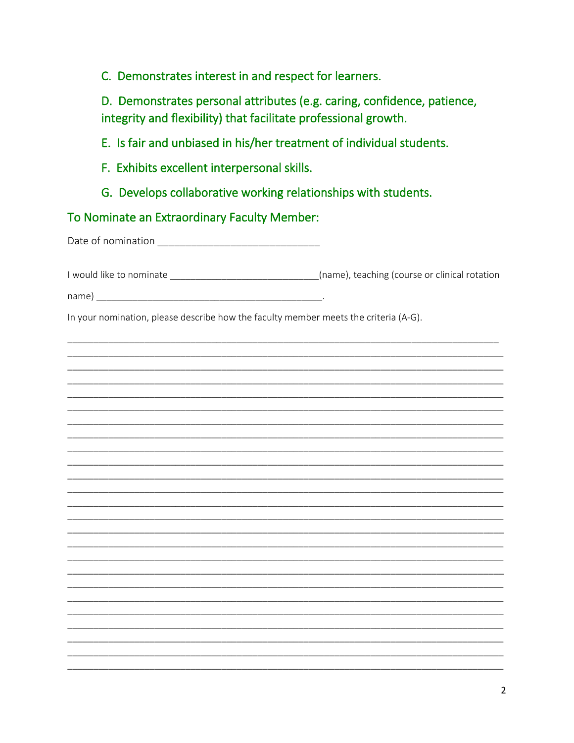C. Demonstrates interest in and respect for learners.

D. Demonstrates personal attributes (e.g. caring, confidence, patience, integrity and flexibility) that facilitate professional growth.

E. Is fair and unbiased in his/her treatment of individual students.

- F. Exhibits excellent interpersonal skills.
- G. Develops collaborative working relationships with students.

## To Nominate an Extraordinary Faculty Member:

I would like to nominate \_\_\_\_\_\_\_\_\_\_\_\_\_\_\_\_\_\_\_\_\_\_\_\_\_\_\_\_\_\_\_\_(name), teaching (course or clinical rotation

In your nomination, please describe how the faculty member meets the criteria (A-G).